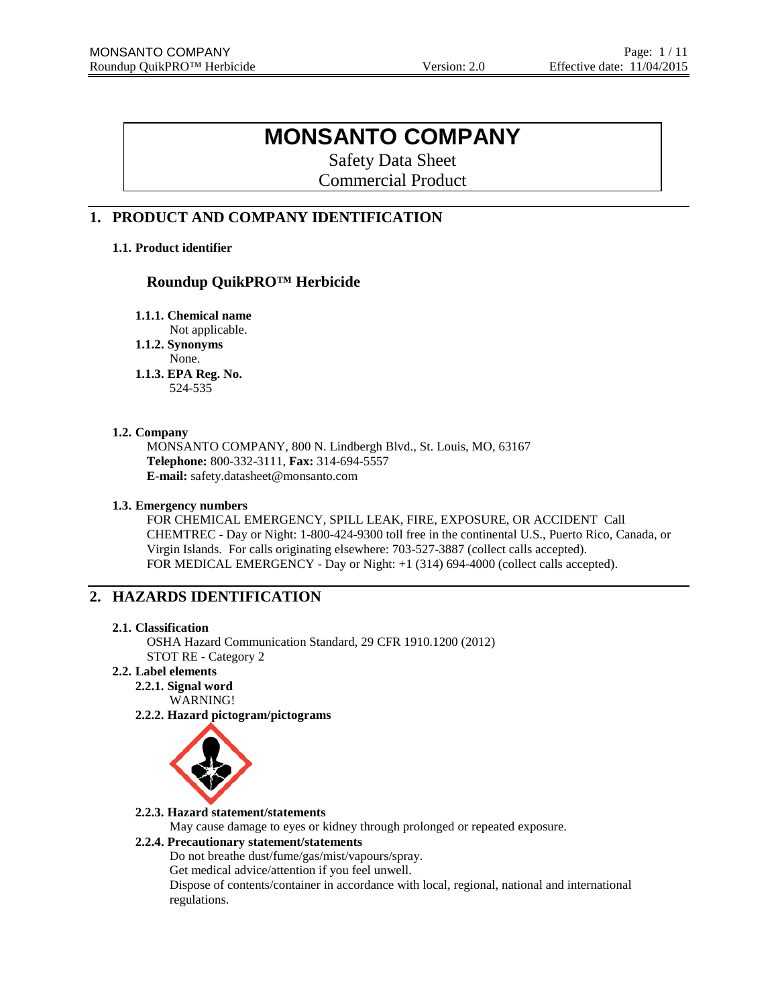# **MONSANTO COMPANY**

Safety Data Sheet Commercial Product

# **1. PRODUCT AND COMPANY IDENTIFICATION**

# **1.1. Product identifier**

# **Roundup QuikPRO™ Herbicide**

**1.1.1. Chemical name**

- Not applicable.
- **1.1.2. Synonyms**

None.

**1.1.3. EPA Reg. No.** 524-535

### **1.2. Company**

MONSANTO COMPANY, 800 N. Lindbergh Blvd., St. Louis, MO, 63167 **Telephone:** 800-332-3111, **Fax:** 314-694-5557 **E-mail:** safety.datasheet@monsanto.com

# **1.3. Emergency numbers**

FOR CHEMICAL EMERGENCY, SPILL LEAK, FIRE, EXPOSURE, OR ACCIDENT Call CHEMTREC - Day or Night: 1-800-424-9300 toll free in the continental U.S., Puerto Rico, Canada, or Virgin Islands. For calls originating elsewhere: 703-527-3887 (collect calls accepted). FOR MEDICAL EMERGENCY - Day or Night: +1 (314) 694-4000 (collect calls accepted).

# **2. HAZARDS IDENTIFICATION**

### **2.1. Classification**

OSHA Hazard Communication Standard, 29 CFR 1910.1200 (2012) STOT RE - Category 2

# **2.2. Label elements**

**2.2.1. Signal word** WARNING!

**2.2.2. Hazard pictogram/pictograms**



# **2.2.3. Hazard statement/statements**

May cause damage to eyes or kidney through prolonged or repeated exposure.

# **2.2.4. Precautionary statement/statements**

Do not breathe dust/fume/gas/mist/vapours/spray.

Get medical advice/attention if you feel unwell.

Dispose of contents/container in accordance with local, regional, national and international regulations.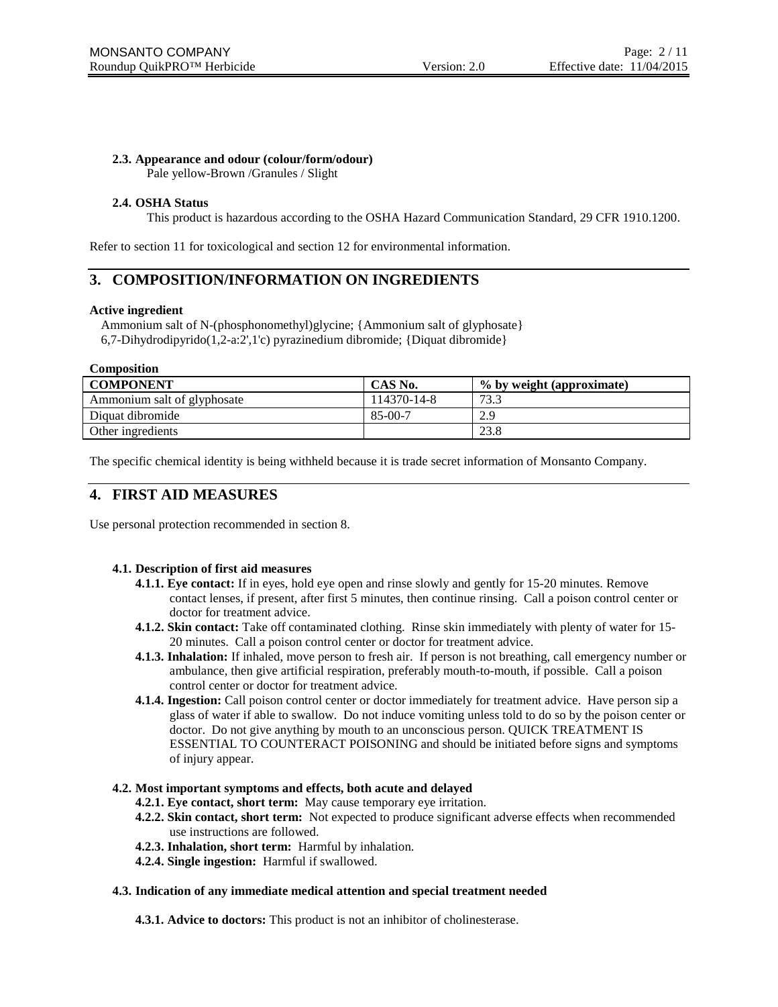### **2.3. Appearance and odour (colour/form/odour)**

Pale yellow-Brown /Granules / Slight

### **2.4. OSHA Status**

This product is hazardous according to the OSHA Hazard Communication Standard, 29 CFR 1910.1200.

Refer to section 11 for toxicological and section 12 for environmental information.

# **3. COMPOSITION/INFORMATION ON INGREDIENTS**

#### **Active ingredient**

Ammonium salt of N-(phosphonomethyl)glycine; {Ammonium salt of glyphosate} 6,7-Dihydrodipyrido(1,2-a:2',1'c) pyrazinedium dibromide; {Diquat dibromide}

**Composition**

| <b>COMPONENT</b>            | CAS No.     | % by weight (approximate) |
|-----------------------------|-------------|---------------------------|
| Ammonium salt of glyphosate | 114370-14-8 | 73.3                      |
| Diquat dibromide            | $85-00-7$   | 2.9                       |
| Other ingredients           |             | 23.8                      |

The specific chemical identity is being withheld because it is trade secret information of Monsanto Company.

# **4. FIRST AID MEASURES**

Use personal protection recommended in section 8.

### **4.1. Description of first aid measures**

- **4.1.1. Eye contact:** If in eyes, hold eye open and rinse slowly and gently for 15-20 minutes. Remove contact lenses, if present, after first 5 minutes, then continue rinsing. Call a poison control center or doctor for treatment advice.
- **4.1.2. Skin contact:** Take off contaminated clothing. Rinse skin immediately with plenty of water for 15- 20 minutes. Call a poison control center or doctor for treatment advice.
- **4.1.3. Inhalation:** If inhaled, move person to fresh air. If person is not breathing, call emergency number or ambulance, then give artificial respiration, preferably mouth-to-mouth, if possible. Call a poison control center or doctor for treatment advice.
- **4.1.4. Ingestion:** Call poison control center or doctor immediately for treatment advice. Have person sip a glass of water if able to swallow. Do not induce vomiting unless told to do so by the poison center or doctor. Do not give anything by mouth to an unconscious person. QUICK TREATMENT IS ESSENTIAL TO COUNTERACT POISONING and should be initiated before signs and symptoms of injury appear.

#### **4.2. Most important symptoms and effects, both acute and delayed**

- **4.2.1. Eye contact, short term:** May cause temporary eye irritation.
- **4.2.2. Skin contact, short term:** Not expected to produce significant adverse effects when recommended use instructions are followed.
- **4.2.3. Inhalation, short term:** Harmful by inhalation.
- **4.2.4. Single ingestion:** Harmful if swallowed.

#### **4.3. Indication of any immediate medical attention and special treatment needed**

**4.3.1. Advice to doctors:** This product is not an inhibitor of cholinesterase.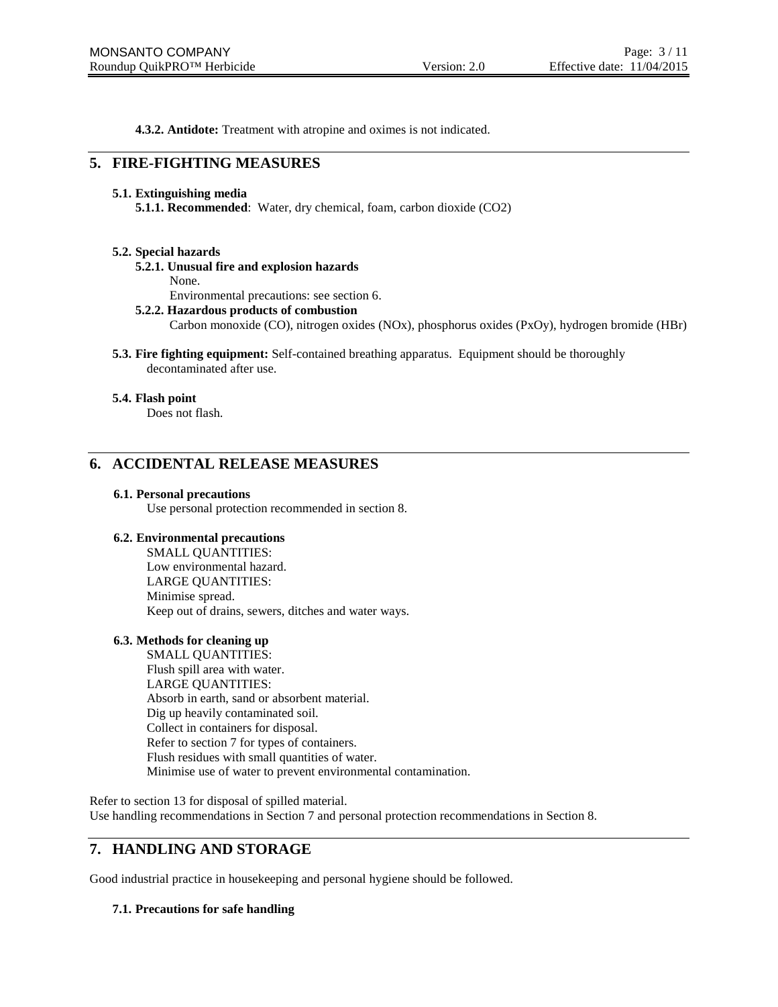**4.3.2. Antidote:** Treatment with atropine and oximes is not indicated.

# **5. FIRE-FIGHTING MEASURES**

#### **5.1. Extinguishing media**

**5.1.1. Recommended**: Water, dry chemical, foam, carbon dioxide (CO2)

### **5.2. Special hazards**

- **5.2.1. Unusual fire and explosion hazards**
	- None.

Environmental precautions: see section 6.

#### **5.2.2. Hazardous products of combustion**

Carbon monoxide (CO), nitrogen oxides (NOx), phosphorus oxides (PxOy), hydrogen bromide (HBr)

**5.3. Fire fighting equipment:** Self-contained breathing apparatus. Equipment should be thoroughly decontaminated after use.

#### **5.4. Flash point**

Does not flash.

# **6. ACCIDENTAL RELEASE MEASURES**

#### **6.1. Personal precautions**

Use personal protection recommended in section 8.

#### **6.2. Environmental precautions**

SMALL QUANTITIES: Low environmental hazard. LARGE QUANTITIES: Minimise spread. Keep out of drains, sewers, ditches and water ways.

### **6.3. Methods for cleaning up**

SMALL QUANTITIES: Flush spill area with water. LARGE QUANTITIES: Absorb in earth, sand or absorbent material. Dig up heavily contaminated soil. Collect in containers for disposal. Refer to section 7 for types of containers. Flush residues with small quantities of water. Minimise use of water to prevent environmental contamination.

Refer to section 13 for disposal of spilled material. Use handling recommendations in Section 7 and personal protection recommendations in Section 8.

# **7. HANDLING AND STORAGE**

Good industrial practice in housekeeping and personal hygiene should be followed.

### **7.1. Precautions for safe handling**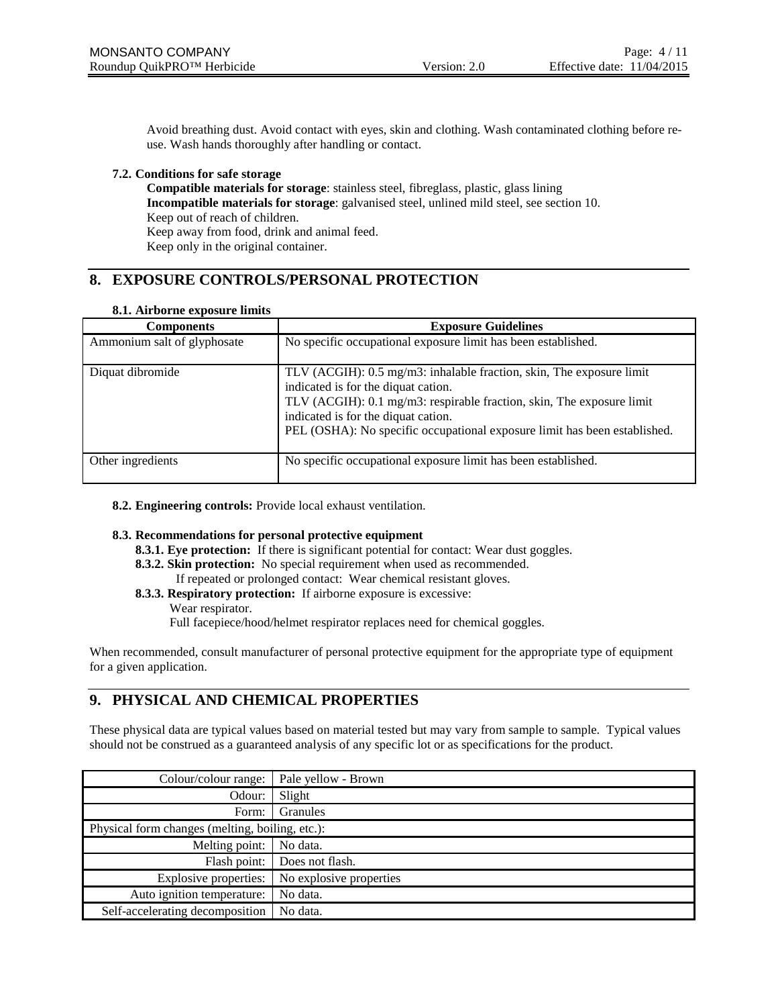Avoid breathing dust. Avoid contact with eyes, skin and clothing. Wash contaminated clothing before reuse. Wash hands thoroughly after handling or contact.

### **7.2. Conditions for safe storage**

**Compatible materials for storage**: stainless steel, fibreglass, plastic, glass lining **Incompatible materials for storage**: galvanised steel, unlined mild steel, see section 10. Keep out of reach of children. Keep away from food, drink and animal feed. Keep only in the original container.

# **8. EXPOSURE CONTROLS/PERSONAL PROTECTION**

# **8.1. Airborne exposure limits**

| one ran borne exposure minus |                                                                                                                                                                                                                                                                                                          |  |  |
|------------------------------|----------------------------------------------------------------------------------------------------------------------------------------------------------------------------------------------------------------------------------------------------------------------------------------------------------|--|--|
| <b>Components</b>            | <b>Exposure Guidelines</b>                                                                                                                                                                                                                                                                               |  |  |
| Ammonium salt of glyphosate  | No specific occupational exposure limit has been established.                                                                                                                                                                                                                                            |  |  |
| Diquat dibromide             | TLV (ACGIH): 0.5 mg/m3: inhalable fraction, skin, The exposure limit<br>indicated is for the diquat cation.<br>TLV (ACGIH): 0.1 mg/m3: respirable fraction, skin, The exposure limit<br>indicated is for the diquat cation.<br>PEL (OSHA): No specific occupational exposure limit has been established. |  |  |
| Other ingredients            | No specific occupational exposure limit has been established.                                                                                                                                                                                                                                            |  |  |

**8.2. Engineering controls:** Provide local exhaust ventilation.

### **8.3. Recommendations for personal protective equipment**

- **8.3.1. Eye protection:** If there is significant potential for contact: Wear dust goggles.
- **8.3.2. Skin protection:** No special requirement when used as recommended.
	- If repeated or prolonged contact: Wear chemical resistant gloves.
- **8.3.3. Respiratory protection:** If airborne exposure is excessive: Wear respirator. Full facepiece/hood/helmet respirator replaces need for chemical goggles.

When recommended, consult manufacturer of personal protective equipment for the appropriate type of equipment for a given application.

# **9. PHYSICAL AND CHEMICAL PROPERTIES**

These physical data are typical values based on material tested but may vary from sample to sample. Typical values should not be construed as a guaranteed analysis of any specific lot or as specifications for the product.

| Colour/colour range:                            | Pale yellow - Brown     |  |
|-------------------------------------------------|-------------------------|--|
| Odour:                                          | Slight                  |  |
| Form:                                           | Granules                |  |
| Physical form changes (melting, boiling, etc.): |                         |  |
| Melting point:                                  | No data.                |  |
| Flash point:                                    | Does not flash.         |  |
| Explosive properties:                           | No explosive properties |  |
| Auto ignition temperature:                      | No data.                |  |
| Self-accelerating decomposition                 | No data.                |  |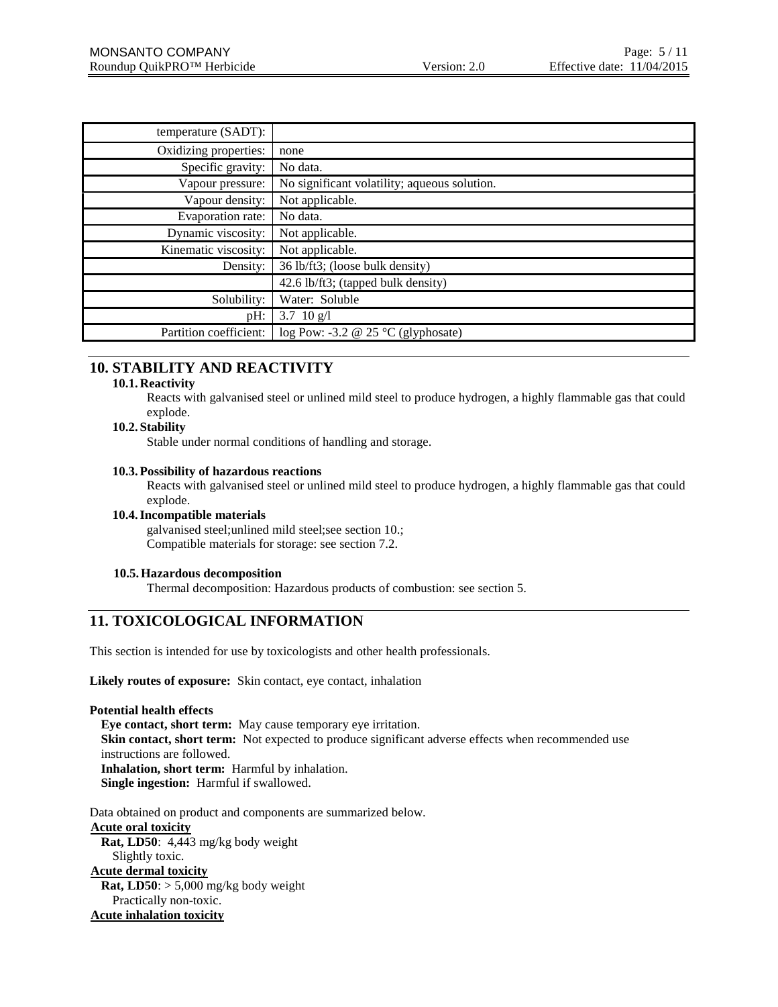| temperature (SADT):    |                                              |
|------------------------|----------------------------------------------|
| Oxidizing properties:  | none                                         |
| Specific gravity:      | No data.                                     |
| Vapour pressure:       | No significant volatility; aqueous solution. |
| Vapour density:        | Not applicable.                              |
| Evaporation rate:      | No data.                                     |
| Dynamic viscosity:     | Not applicable.                              |
| Kinematic viscosity:   | Not applicable.                              |
| Density:               | 36 lb/ft3; (loose bulk density)              |
|                        | 42.6 lb/ft3; (tapped bulk density)           |
| Solubility:            | Water: Soluble                               |
| $pH$ :                 | 3.7 10 $g/l$                                 |
| Partition coefficient: | log Pow: -3.2 @ 25 $°C$ (glyphosate)         |

# **10. STABILITY AND REACTIVITY**

#### **10.1. Reactivity**

Reacts with galvanised steel or unlined mild steel to produce hydrogen, a highly flammable gas that could explode.

# **10.2. Stability**

Stable under normal conditions of handling and storage.

#### **10.3.Possibility of hazardous reactions**

Reacts with galvanised steel or unlined mild steel to produce hydrogen, a highly flammable gas that could explode.

#### **10.4.Incompatible materials**

galvanised steel;unlined mild steel;see section 10.; Compatible materials for storage: see section 7.2.

#### **10.5.Hazardous decomposition**

Thermal decomposition: Hazardous products of combustion: see section 5.

# **11. TOXICOLOGICAL INFORMATION**

This section is intended for use by toxicologists and other health professionals.

**Likely routes of exposure:** Skin contact, eye contact, inhalation

### **Potential health effects**

**Eye contact, short term:** May cause temporary eye irritation. **Skin contact, short term:** Not expected to produce significant adverse effects when recommended use instructions are followed. **Inhalation, short term:** Harmful by inhalation. **Single ingestion:** Harmful if swallowed.

Data obtained on product and components are summarized below. **Acute oral toxicity Rat, LD50**: 4,443 mg/kg body weight Slightly toxic. **Acute dermal toxicity Rat, LD50**: > 5,000 mg/kg body weight Practically non-toxic. **Acute inhalation toxicity**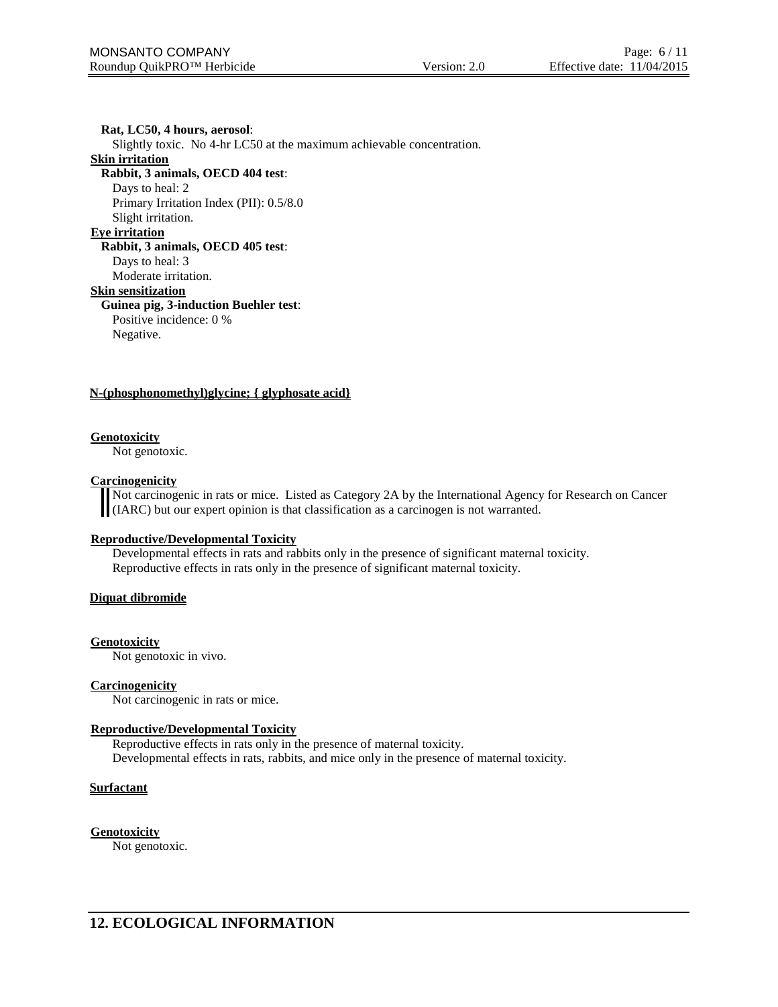**Rat, LC50, 4 hours, aerosol**: Slightly toxic. No 4-hr LC50 at the maximum achievable concentration. **Skin irritation Rabbit, 3 animals, OECD 404 test**: Days to heal: 2 Primary Irritation Index (PII): 0.5/8.0 Slight irritation. **Eye irritation Rabbit, 3 animals, OECD 405 test**: Days to heal: 3 Moderate irritation. **Skin sensitization Guinea pig, 3-induction Buehler test**: Positive incidence: 0 % Negative.

#### **N-(phosphonomethyl)glycine; { glyphosate acid}**

#### **Genotoxicity**

Not genotoxic.

#### **Carcinogenicity**

Not carcinogenic in rats or mice. Listed as Category 2A by the International Agency for Research on Cancer (IARC) but our expert opinion is that classification as a carcinogen is not warranted.

#### **Reproductive/Developmental Toxicity**

Developmental effects in rats and rabbits only in the presence of significant maternal toxicity. Reproductive effects in rats only in the presence of significant maternal toxicity.

#### **Diquat dibromide**

#### **Genotoxicity**

Not genotoxic in vivo.

#### **Carcinogenicity**

Not carcinogenic in rats or mice.

#### **Reproductive/Developmental Toxicity**

Reproductive effects in rats only in the presence of maternal toxicity. Developmental effects in rats, rabbits, and mice only in the presence of maternal toxicity.

#### **Surfactant**

**Genotoxicity**

Not genotoxic.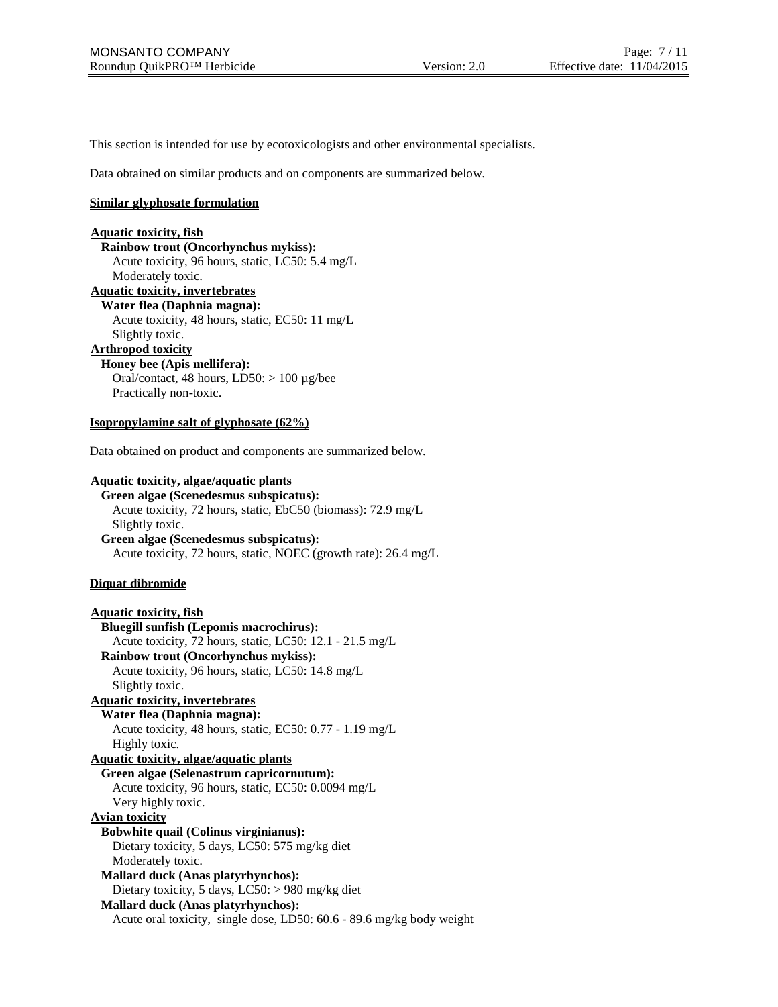This section is intended for use by ecotoxicologists and other environmental specialists.

Data obtained on similar products and on components are summarized below.

# **Similar glyphosate formulation**

# **Aquatic toxicity, fish**

**Rainbow trout (Oncorhynchus mykiss):** Acute toxicity, 96 hours, static, LC50: 5.4 mg/L Moderately toxic.

**Aquatic toxicity, invertebrates**

# **Water flea (Daphnia magna):**

Acute toxicity, 48 hours, static, EC50: 11 mg/L

Slightly toxic.

# **Arthropod toxicity**

**Honey bee (Apis mellifera):**

Oral/contact, 48 hours,  $LD50$ :  $> 100 \mu g/$ bee Practically non-toxic.

#### **Isopropylamine salt of glyphosate (62%)**

Data obtained on product and components are summarized below.

#### **Aquatic toxicity, algae/aquatic plants**

**Green algae (Scenedesmus subspicatus):** Acute toxicity, 72 hours, static, EbC50 (biomass): 72.9 mg/L Slightly toxic.

**Green algae (Scenedesmus subspicatus):** Acute toxicity, 72 hours, static, NOEC (growth rate): 26.4 mg/L

### **Diquat dibromide**

**Aquatic toxicity, fish Bluegill sunfish (Lepomis macrochirus):** Acute toxicity, 72 hours, static, LC50: 12.1 - 21.5 mg/L **Rainbow trout (Oncorhynchus mykiss):** Acute toxicity, 96 hours, static, LC50: 14.8 mg/L Slightly toxic. **Aquatic toxicity, invertebrates Water flea (Daphnia magna):** Acute toxicity, 48 hours, static, EC50: 0.77 - 1.19 mg/L Highly toxic. **Aquatic toxicity, algae/aquatic plants Green algae (Selenastrum capricornutum):** Acute toxicity, 96 hours, static, EC50: 0.0094 mg/L Very highly toxic. **Avian toxicity Bobwhite quail (Colinus virginianus):** Dietary toxicity, 5 days, LC50: 575 mg/kg diet Moderately toxic. **Mallard duck (Anas platyrhynchos):** Dietary toxicity, 5 days, LC50: > 980 mg/kg diet **Mallard duck (Anas platyrhynchos):** Acute oral toxicity, single dose, LD50: 60.6 - 89.6 mg/kg body weight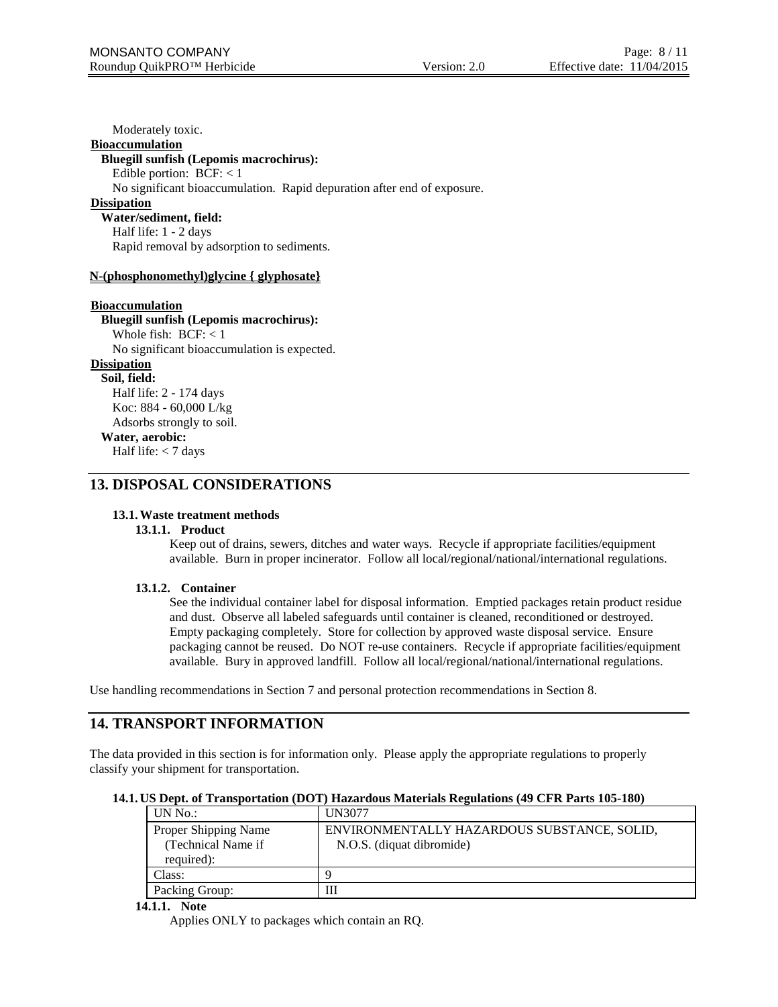Moderately toxic.

# **Bioaccumulation**

#### **Bluegill sunfish (Lepomis macrochirus):**

Edible portion:  $BCF: < 1$ 

No significant bioaccumulation. Rapid depuration after end of exposure.

### **Dissipation**

**Water/sediment, field:** Half life: 1 - 2 days Rapid removal by adsorption to sediments.

#### **N-(phosphonomethyl)glycine { glyphosate}**

#### **Bioaccumulation**

# **Bluegill sunfish (Lepomis macrochirus):**

Whole fish: BCF: < 1 No significant bioaccumulation is expected.

# **Dissipation**

**Soil, field:** Half life: 2 - 174 days Koc: 884 - 60,000 L/kg Adsorbs strongly to soil.

#### **Water, aerobic:**

Half life: < 7 days

### **13. DISPOSAL CONSIDERATIONS**

#### **13.1.Waste treatment methods**

#### **13.1.1. Product**

Keep out of drains, sewers, ditches and water ways. Recycle if appropriate facilities/equipment available. Burn in proper incinerator. Follow all local/regional/national/international regulations.

#### **13.1.2. Container**

See the individual container label for disposal information. Emptied packages retain product residue and dust. Observe all labeled safeguards until container is cleaned, reconditioned or destroyed. Empty packaging completely. Store for collection by approved waste disposal service. Ensure packaging cannot be reused. Do NOT re-use containers. Recycle if appropriate facilities/equipment available. Bury in approved landfill. Follow all local/regional/national/international regulations.

Use handling recommendations in Section 7 and personal protection recommendations in Section 8.

# **14. TRANSPORT INFORMATION**

The data provided in this section is for information only. Please apply the appropriate regulations to properly classify your shipment for transportation.

#### **14.1. US Dept. of Transportation (DOT) Hazardous Materials Regulations (49 CFR Parts 105-180)**

| UN No.               | UN3077                                      |
|----------------------|---------------------------------------------|
| Proper Shipping Name | ENVIRONMENTALLY HAZARDOUS SUBSTANCE, SOLID, |
| (Technical Name if   | N.O.S. (diquat dibromide)                   |
| required):           |                                             |
| Class:               |                                             |
| Packing Group:       | Ш                                           |

#### **14.1.1. Note**

Applies ONLY to packages which contain an RQ.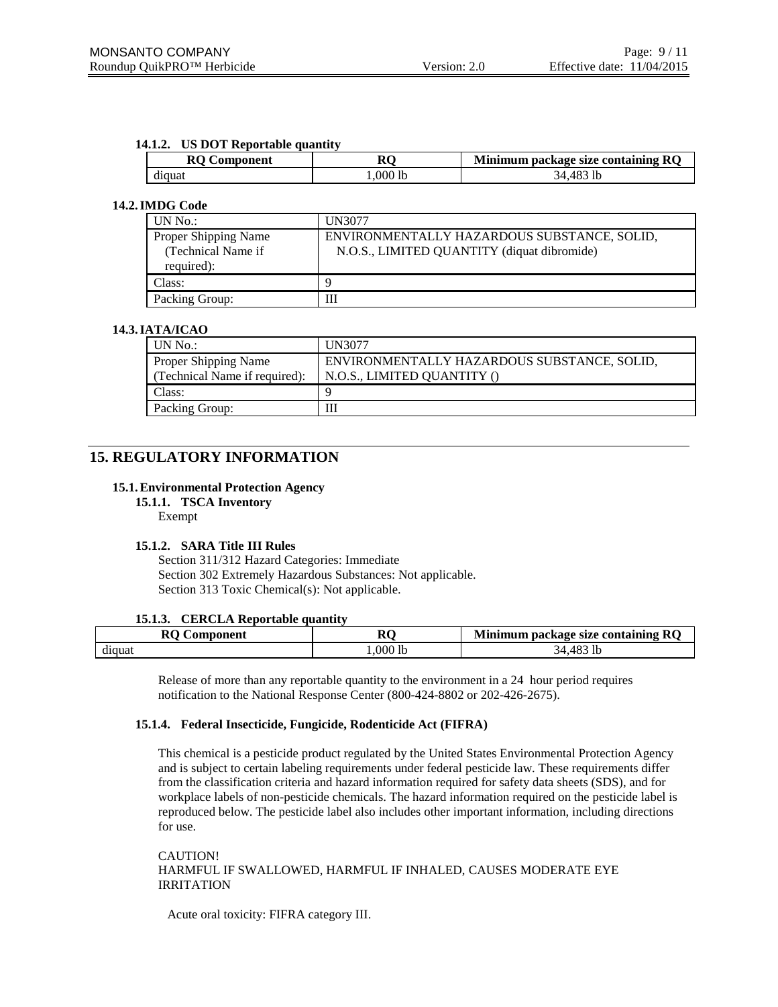#### **14.1.2. US DOT Reportable quantity**

| <b>RO</b><br>Component | м       | Minimum package size containing RQ |  |
|------------------------|---------|------------------------------------|--|
| diquat                 | .000 lb | : 483<br>-lb<br>៶∠⊥                |  |

#### **14.2.IMDG Code**

| UN No.:                                                  | <b>UN3077</b>                                                                              |
|----------------------------------------------------------|--------------------------------------------------------------------------------------------|
| Proper Shipping Name<br>(Technical Name if<br>required): | ENVIRONMENTALLY HAZARDOUS SUBSTANCE, SOLID,<br>N.O.S., LIMITED QUANTITY (diquat dibromide) |
| Class:                                                   |                                                                                            |
| Packing Group:                                           | Ш                                                                                          |

# **14.3.IATA/ICAO**

| UN No.:                                                      | <b>UN3077</b>                                                              |
|--------------------------------------------------------------|----------------------------------------------------------------------------|
| <b>Proper Shipping Name</b><br>(Technical Name if required): | ENVIRONMENTALLY HAZARDOUS SUBSTANCE, SOLID,<br>N.O.S., LIMITED QUANTITY () |
| Class:                                                       |                                                                            |
| Packing Group:                                               |                                                                            |

# **15. REGULATORY INFORMATION**

#### **15.1.Environmental Protection Agency**

**15.1.1. TSCA Inventory**

Exempt

### **15.1.2. SARA Title III Rules**

Section 311/312 Hazard Categories: Immediate Section 302 Extremely Hazardous Substances: Not applicable. Section 313 Toxic Chemical(s): Not applicable.

#### **15.1.3. CERCLA Reportable quantity**

| $\mathbf{r}$<br><b>\omponent</b><br>v. | RC        | R <sub>O</sub><br><b>Minimum package size containing i</b> |  |
|----------------------------------------|-----------|------------------------------------------------------------|--|
| diquat                                 | $.000$ lb | 183 lb<br>34.48                                            |  |

Release of more than any reportable quantity to the environment in a 24 hour period requires notification to the National Response Center (800-424-8802 or 202-426-2675).

#### **15.1.4. Federal Insecticide, Fungicide, Rodenticide Act (FIFRA)**

This chemical is a pesticide product regulated by the United States Environmental Protection Agency and is subject to certain labeling requirements under federal pesticide law. These requirements differ from the classification criteria and hazard information required for safety data sheets (SDS), and for workplace labels of non-pesticide chemicals. The hazard information required on the pesticide label is reproduced below. The pesticide label also includes other important information, including directions for use.

CAUTION! HARMFUL IF SWALLOWED, HARMFUL IF INHALED, CAUSES MODERATE EYE IRRITATION

Acute oral toxicity: FIFRA category III.